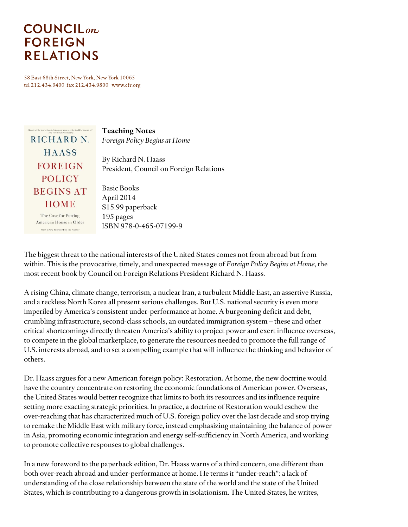# **COUNCIL**<sub>on</sub> **FOREIGN RELATIONS**

58 East 68th Street, New York, New York 10065 tel 212.434.9400 fax 212.434.9800 www.cfr.org

| "Haass's call for getting America's domestic house in order should be listened to."<br>-Nete York Times Book Review<br>RICHARD N. | <b>Teaching Notes</b><br>Foreign Policy Begins at Home                                       |
|-----------------------------------------------------------------------------------------------------------------------------------|----------------------------------------------------------------------------------------------|
| <b>HAASS</b><br><b>FOREIGN</b><br><b>POLICY</b>                                                                                   | By Richard N. Haass<br>President, Council on Foreign Relations                               |
| <b>BEGINS AT</b><br><b>HOME</b><br>The Case for Putting<br>America's House in Order<br>With a New Foreword by the Author          | <b>Basic Books</b><br>April 2014<br>\$15.99 paperback<br>195 pages<br>ISBN 978-0-465-07199-9 |

The biggest threat to the national interests of the United States comes not from abroad but from within. This is the provocative, timely, and unexpected message of *Foreign Policy Begins at Home*, the most recent book by Council on Foreign Relations President Richard N. Haass*.*

A rising China, climate change, terrorism, a nuclear Iran, a turbulent Middle East, an assertive Russia, and a reckless North Korea all present serious challenges. But U.S. national security is even more imperiled by America's consistent under-performance at home. A burgeoning deficit and debt, crumbling infrastructure, second-class schools, an outdated immigration system – these and other critical shortcomings directly threaten America's ability to project power and exert influence overseas, to compete in the global marketplace, to generate the resources needed to promote the full range of U.S. interests abroad, and to set a compelling example that will influence the thinking and behavior of others.

Dr. Haass argues for a new American foreign policy: Restoration. At home, the new doctrine would have the country concentrate on restoring the economic foundations of American power. Overseas, the United States would better recognize that limits to both its resources and its influence require setting more exacting strategic priorities. In practice, a doctrine of Restoration would eschew the over-reaching that has characterized much of U.S. foreign policy over the last decade and stop trying to remake the Middle East with military force, instead emphasizing maintaining the balance of power in Asia, promoting economic integration and energy self-sufficiency in North America, and working to promote collective responses to global challenges.

In a new foreword to the paperback edition, Dr. Haass warns of a third concern, one different than both over-reach abroad and under-performance at home. He terms it "under-reach": a lack of understanding of the close relationship between the state of the world and the state of the United States, which is contributing to a dangerous growth in isolationism. The United States, he writes,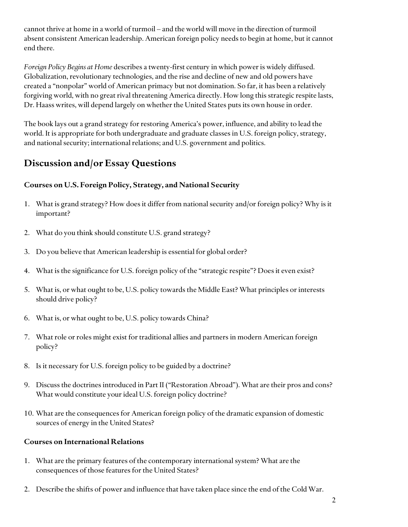cannot thrive at home in a world of turmoil – and the world will move in the direction of turmoil absent consistent American leadership. American foreign policy needs to begin at home, but it cannot end there.

*Foreign Policy Begins at Home* describes a twenty-first century in which power is widely diffused. Globalization, revolutionary technologies, and the rise and decline of new and old powers have created a "nonpolar" world of American primacy but not domination. So far, it has been a relatively forgiving world, with no great rival threatening America directly. How long this strategic respite lasts, Dr. Haass writes, will depend largely on whether the United States puts its own house in order.

The book lays out a grand strategy for restoring America's power, influence, and ability to lead the world. It is appropriate for both undergraduate and graduate classes in U.S. foreign policy, strategy, and national security; international relations; and U.S. government and politics.

## **Discussion and/or Essay Questions**

### **Courses on U.S. Foreign Policy, Strategy, and National Security**

- 1. What is grand strategy? How does it differ from national security and/or foreign policy? Why is it important?
- 2. What do you think should constitute U.S. grand strategy?
- 3. Do you believe that American leadership is essential for global order?
- 4. What is the significance for U.S. foreign policy of the "strategic respite"? Does it even exist?
- 5. What is, or what ought to be, U.S. policy towards the Middle East? What principles or interests should drive policy?
- 6. What is, or what ought to be, U.S. policy towards China?
- 7. What role or roles might exist for traditional allies and partners in modern American foreign policy?
- 8. Is it necessary for U.S. foreign policy to be guided by a doctrine?
- 9. Discuss the doctrines introduced in Part II ("Restoration Abroad"). What are their pros and cons? What would constitute your ideal U.S. foreign policy doctrine?
- 10. What are the consequences for American foreign policy of the dramatic expansion of domestic sources of energy in the United States?

### **Courses on International Relations**

- 1. What are the primary features of the contemporary international system? What are the consequences of those features for the United States?
- 2. Describe the shifts of power and influence that have taken place since the end of the Cold War.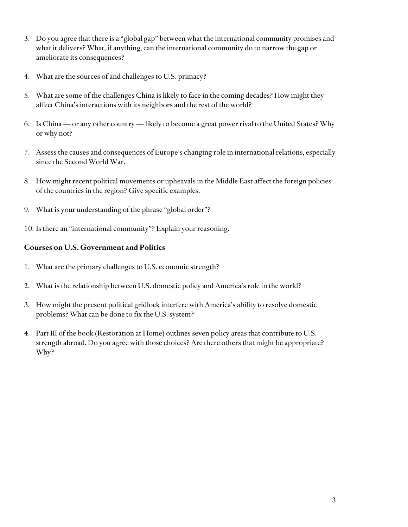- 3. Do you agree that there is a "global gap" between what the international community promises and what it delivers? What, if anything, can the international community do to narrow the gap or ameliorate its consequences?
- 4. What are the sources of and challenges to U.S. primacy?
- 5. What are some of the challenges China is likely to face in the coming decades? How might they affect China's interactions with its neighbors and the rest of the world?
- 6. Is China or any other country likely to become a great power rival to the United States? Why or why not?
- 7. Assess the causes and consequences of Europe's changing role in international relations, especially since the Second World War.
- 8. How might recent political movements or upheavals in the Middle East affect the foreign policies of the countries in the region? Give specific examples.
- 9. What is your understanding of the phrase "global order"?
- 10. Is there an "international community"? Explain your reasoning.

#### **Courses on U.S. Government and Politics**

- 1. What are the primary challenges to U.S. economic strength?
- 2. What is the relationship between U.S. domestic policy and America's role in the world?
- 3. How might the present political gridlock interfere with America's ability to resolve domestic problems? What can be done to fix the U.S. system?
- 4. Part III of the book (Restoration at Home) outlines seven policy areas that contribute to U.S. strength abroad. Do you agree with those choices? Are there others that might be appropriate? Why?